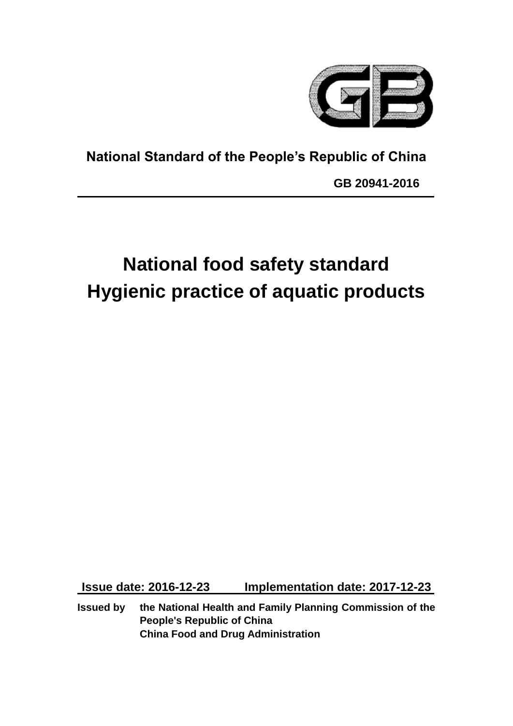

**National Standard of the People's Republic of China**

**GB 20941-2016**

# **National food safety standard Hygienic practice of aquatic products**

**Issue date: 2016-12-23 Implementation date: 2017-12-23**

**Issued by the National Health and Family Planning Commission of the People's Republic of China China Food and Drug Administration**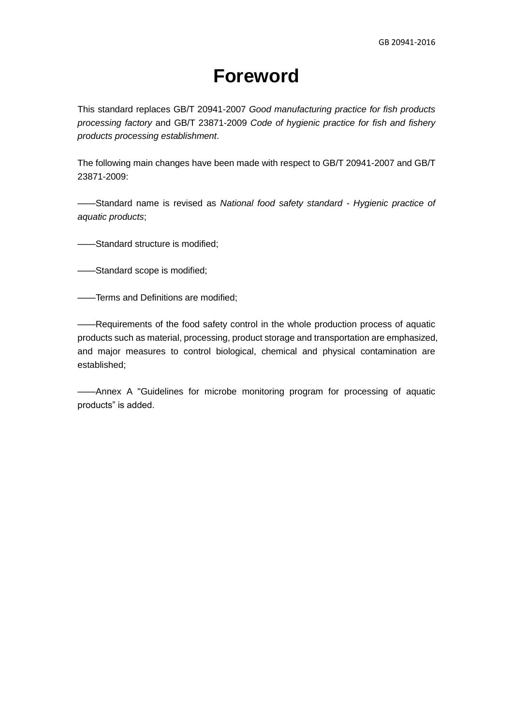## **Foreword**

This standard replaces GB/T 20941-2007 *Good manufacturing practice for fish products processing factory* and GB/T 23871-2009 *Code of hygienic practice for fish and fishery products processing establishment*.

The following main changes have been made with respect to GB/T 20941-2007 and GB/T 23871-2009:

——Standard name is revised as *National food safety standard - Hygienic practice of aquatic products*;

——Standard structure is modified;

——Standard scope is modified;

——Terms and Definitions are modified;

——Requirements of the food safety control in the whole production process of aquatic products such as material, processing, product storage and transportation are emphasized, and major measures to control biological, chemical and physical contamination are established;

——Annex A "Guidelines for microbe monitoring program for processing of aquatic products" is added.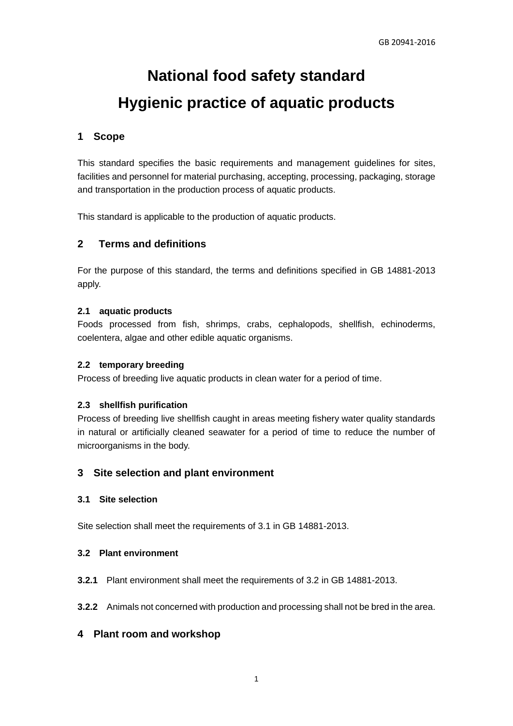## **National food safety standard Hygienic practice of aquatic products**

## **1 Scope**

This standard specifies the basic requirements and management guidelines for sites, facilities and personnel for material purchasing, accepting, processing, packaging, storage and transportation in the production process of aquatic products.

This standard is applicable to the production of aquatic products.

## **2 Terms and definitions**

For the purpose of this standard, the terms and definitions specified in GB 14881-2013 apply.

## **2.1 aquatic products**

Foods processed from fish, shrimps, crabs, cephalopods, shellfish, echinoderms, coelentera, algae and other edible aquatic organisms.

### **2.2 temporary breeding**

Process of breeding live aquatic products in clean water for a period of time.

#### **2.3 shellfish purification**

Process of breeding live shellfish caught in areas meeting fishery water quality standards in natural or artificially cleaned seawater for a period of time to reduce the number of microorganisms in the body.

## **3 Site selection and plant environment**

#### **3.1 Site selection**

Site selection shall meet the requirements of 3.1 in GB 14881-2013.

#### **3.2 Plant environment**

**3.2.1** Plant environment shall meet the requirements of 3.2 in GB 14881-2013.

**3.2.2** Animals not concerned with production and processing shall not be bred in the area.

## **4 Plant room and workshop**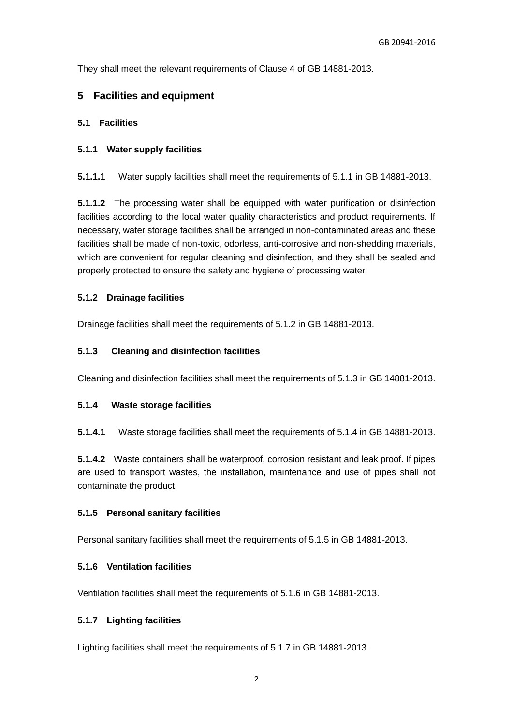They shall meet the relevant requirements of Clause 4 of GB 14881-2013.

## **5 Facilities and equipment**

## **5.1 Facilities**

#### **5.1.1 Water supply facilities**

**5.1.1.1** Water supply facilities shall meet the requirements of 5.1.1 in GB 14881-2013.

**5.1.1.2** The processing water shall be equipped with water purification or disinfection facilities according to the local water quality characteristics and product requirements. If necessary, water storage facilities shall be arranged in non-contaminated areas and these facilities shall be made of non-toxic, odorless, anti-corrosive and non-shedding materials, which are convenient for regular cleaning and disinfection, and they shall be sealed and properly protected to ensure the safety and hygiene of processing water.

#### **5.1.2 Drainage facilities**

Drainage facilities shall meet the requirements of 5.1.2 in GB 14881-2013.

#### **5.1.3 Cleaning and disinfection facilities**

Cleaning and disinfection facilities shall meet the requirements of 5.1.3 in GB 14881-2013.

#### **5.1.4 Waste storage facilities**

**5.1.4.1** Waste storage facilities shall meet the requirements of 5.1.4 in GB 14881-2013.

**5.1.4.2** Waste containers shall be waterproof, corrosion resistant and leak proof. If pipes are used to transport wastes, the installation, maintenance and use of pipes shall not contaminate the product.

#### **5.1.5 Personal sanitary facilities**

Personal sanitary facilities shall meet the requirements of 5.1.5 in GB 14881-2013.

#### **5.1.6 Ventilation facilities**

Ventilation facilities shall meet the requirements of 5.1.6 in GB 14881-2013.

#### **5.1.7 Lighting facilities**

Lighting facilities shall meet the requirements of 5.1.7 in GB 14881-2013.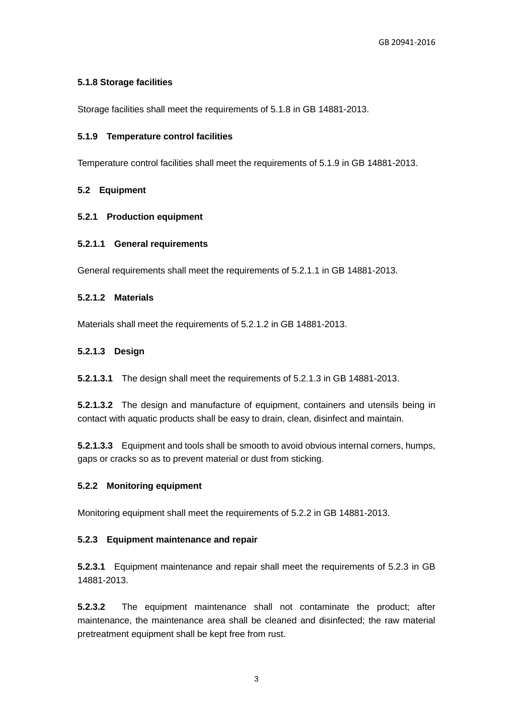## **5.1.8 Storage facilities**

Storage facilities shall meet the requirements of 5.1.8 in GB 14881-2013.

## **5.1.9 Temperature control facilities**

Temperature control facilities shall meet the requirements of 5.1.9 in GB 14881-2013.

## **5.2 Equipment**

## **5.2.1 Production equipment**

## **5.2.1.1 General requirements**

General requirements shall meet the requirements of 5.2.1.1 in GB 14881-2013.

## **5.2.1.2 Materials**

Materials shall meet the requirements of 5.2.1.2 in GB 14881-2013.

## **5.2.1.3 Design**

**5.2.1.3.1** The design shall meet the requirements of 5.2.1.3 in GB 14881-2013.

**5.2.1.3.2** The design and manufacture of equipment, containers and utensils being in contact with aquatic products shall be easy to drain, clean, disinfect and maintain.

**5.2.1.3.3** Equipment and tools shall be smooth to avoid obvious internal corners, humps, gaps or cracks so as to prevent material or dust from sticking.

## **5.2.2 Monitoring equipment**

Monitoring equipment shall meet the requirements of 5.2.2 in GB 14881-2013.

## **5.2.3 Equipment maintenance and repair**

**5.2.3.1** Equipment maintenance and repair shall meet the requirements of 5.2.3 in GB 14881-2013.

**5.2.3.2** The equipment maintenance shall not contaminate the product; after maintenance, the maintenance area shall be cleaned and disinfected; the raw material pretreatment equipment shall be kept free from rust.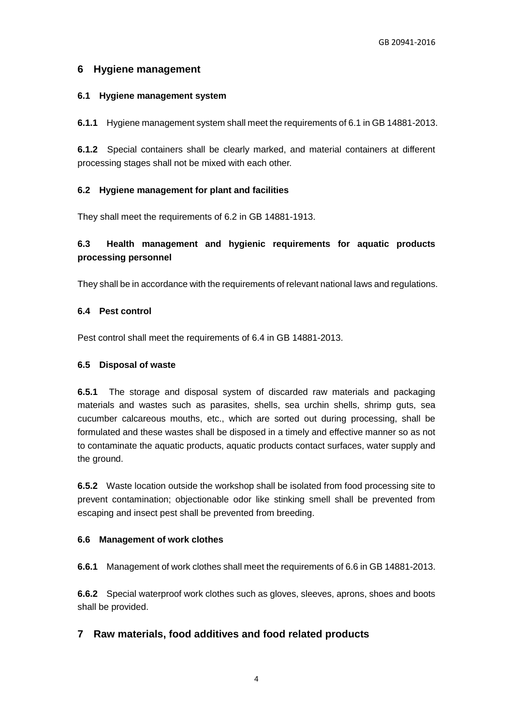## **6 Hygiene management**

### **6.1 Hygiene management system**

**6.1.1** Hygiene management system shall meet the requirements of 6.1 in GB 14881-2013.

**6.1.2** Special containers shall be clearly marked, and material containers at different processing stages shall not be mixed with each other.

## **6.2 Hygiene management for plant and facilities**

They shall meet the requirements of 6.2 in GB 14881-1913.

## **6.3 Health management and hygienic requirements for aquatic products processing personnel**

They shall be in accordance with the requirements of relevant national laws and regulations.

## **6.4 Pest control**

Pest control shall meet the requirements of 6.4 in GB 14881-2013.

### **6.5 Disposal of waste**

**6.5.1** The storage and disposal system of discarded raw materials and packaging materials and wastes such as parasites, shells, sea urchin shells, shrimp guts, sea cucumber calcareous mouths, etc., which are sorted out during processing, shall be formulated and these wastes shall be disposed in a timely and effective manner so as not to contaminate the aquatic products, aquatic products contact surfaces, water supply and the ground.

**6.5.2** Waste location outside the workshop shall be isolated from food processing site to prevent contamination; objectionable odor like stinking smell shall be prevented from escaping and insect pest shall be prevented from breeding.

## **6.6 Management of work clothes**

**6.6.1** Management of work clothes shall meet the requirements of 6.6 in GB 14881-2013.

**6.6.2** Special waterproof work clothes such as gloves, sleeves, aprons, shoes and boots shall be provided.

## **7 Raw materials, food additives and food related products**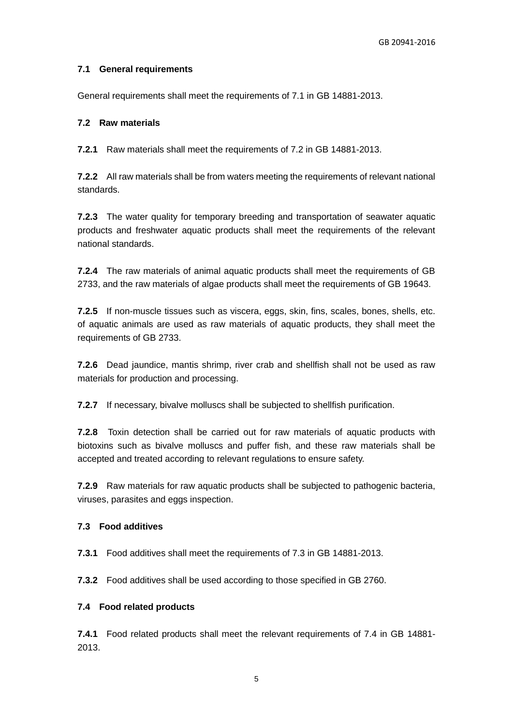## **7.1 General requirements**

General requirements shall meet the requirements of 7.1 in GB 14881-2013.

#### **7.2 Raw materials**

**7.2.1** Raw materials shall meet the requirements of 7.2 in GB 14881-2013.

**7.2.2** All raw materials shall be from waters meeting the requirements of relevant national standards.

**7.2.3** The water quality for temporary breeding and transportation of seawater aquatic products and freshwater aquatic products shall meet the requirements of the relevant national standards.

**7.2.4** The raw materials of animal aquatic products shall meet the requirements of GB 2733, and the raw materials of algae products shall meet the requirements of GB 19643.

**7.2.5** If non-muscle tissues such as viscera, eggs, skin, fins, scales, bones, shells, etc. of aquatic animals are used as raw materials of aquatic products, they shall meet the requirements of GB 2733.

**7.2.6** Dead jaundice, mantis shrimp, river crab and shellfish shall not be used as raw materials for production and processing.

**7.2.7** If necessary, bivalve molluscs shall be subjected to shellfish purification.

**7.2.8** Toxin detection shall be carried out for raw materials of aquatic products with biotoxins such as bivalve molluscs and puffer fish, and these raw materials shall be accepted and treated according to relevant regulations to ensure safety.

**7.2.9** Raw materials for raw aquatic products shall be subjected to pathogenic bacteria, viruses, parasites and eggs inspection.

#### **7.3 Food additives**

**7.3.1** Food additives shall meet the requirements of 7.3 in GB 14881-2013.

**7.3.2** Food additives shall be used according to those specified in GB 2760.

#### **7.4 Food related products**

**7.4.1** Food related products shall meet the relevant requirements of 7.4 in GB 14881- 2013.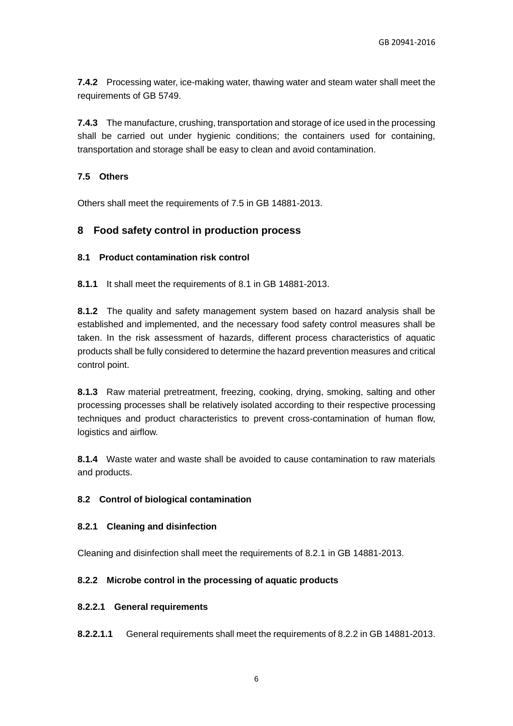**7.4.2** Processing water, ice-making water, thawing water and steam water shall meet the requirements of GB 5749.

**7.4.3** The manufacture, crushing, transportation and storage of ice used in the processing shall be carried out under hygienic conditions; the containers used for containing, transportation and storage shall be easy to clean and avoid contamination.

## **7.5 Others**

Others shall meet the requirements of 7.5 in GB 14881-2013.

## **8 Food safety control in production process**

#### **8.1 Product contamination risk control**

**8.1.1** It shall meet the requirements of 8.1 in GB 14881-2013.

**8.1.2** The quality and safety management system based on hazard analysis shall be established and implemented, and the necessary food safety control measures shall be taken. In the risk assessment of hazards, different process characteristics of aquatic products shall be fully considered to determine the hazard prevention measures and critical control point.

**8.1.3** Raw material pretreatment, freezing, cooking, drying, smoking, salting and other processing processes shall be relatively isolated according to their respective processing techniques and product characteristics to prevent cross-contamination of human flow, logistics and airflow.

**8.1.4** Waste water and waste shall be avoided to cause contamination to raw materials and products.

#### **8.2 Control of biological contamination**

#### **8.2.1 Cleaning and disinfection**

Cleaning and disinfection shall meet the requirements of 8.2.1 in GB 14881-2013.

## **8.2.2 Microbe control in the processing of aquatic products**

#### **8.2.2.1 General requirements**

**8.2.2.1.1** General requirements shall meet the requirements of 8.2.2 in GB 14881-2013.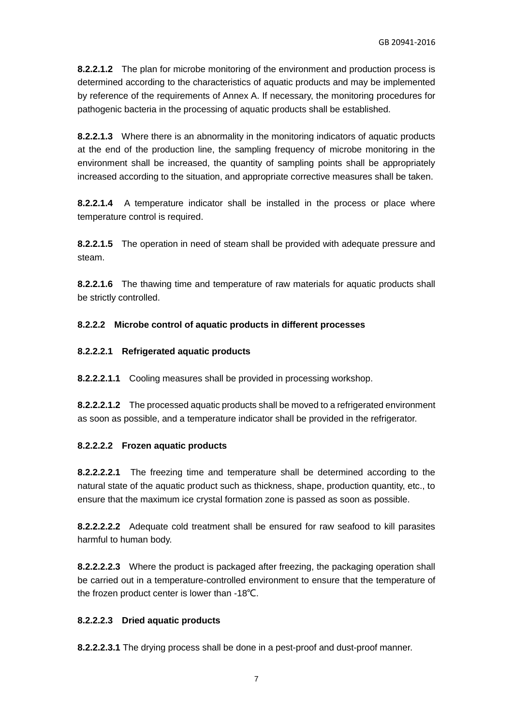**8.2.2.1.2** The plan for microbe monitoring of the environment and production process is determined according to the characteristics of aquatic products and may be implemented by reference of the requirements of Annex A. If necessary, the monitoring procedures for pathogenic bacteria in the processing of aquatic products shall be established.

**8.2.2.1.3** Where there is an abnormality in the monitoring indicators of aquatic products at the end of the production line, the sampling frequency of microbe monitoring in the environment shall be increased, the quantity of sampling points shall be appropriately increased according to the situation, and appropriate corrective measures shall be taken.

**8.2.2.1.4** A temperature indicator shall be installed in the process or place where temperature control is required.

**8.2.2.1.5** The operation in need of steam shall be provided with adequate pressure and steam.

**8.2.2.1.6** The thawing time and temperature of raw materials for aquatic products shall be strictly controlled.

## **8.2.2.2 Microbe control of aquatic products in different processes**

## **8.2.2.2.1 Refrigerated aquatic products**

**8.2.2.2.1.1** Cooling measures shall be provided in processing workshop.

**8.2.2.2.1.2** The processed aquatic products shall be moved to a refrigerated environment as soon as possible, and a temperature indicator shall be provided in the refrigerator.

#### **8.2.2.2.2 Frozen aquatic products**

**8.2.2.2.2.1** The freezing time and temperature shall be determined according to the natural state of the aquatic product such as thickness, shape, production quantity, etc., to ensure that the maximum ice crystal formation zone is passed as soon as possible.

**8.2.2.2.2.2** Adequate cold treatment shall be ensured for raw seafood to kill parasites harmful to human body.

**8.2.2.2.2.3** Where the product is packaged after freezing, the packaging operation shall be carried out in a temperature-controlled environment to ensure that the temperature of the frozen product center is lower than -18℃.

## **8.2.2.2.3 Dried aquatic products**

**8.2.2.2.3.1** The drying process shall be done in a pest-proof and dust-proof manner.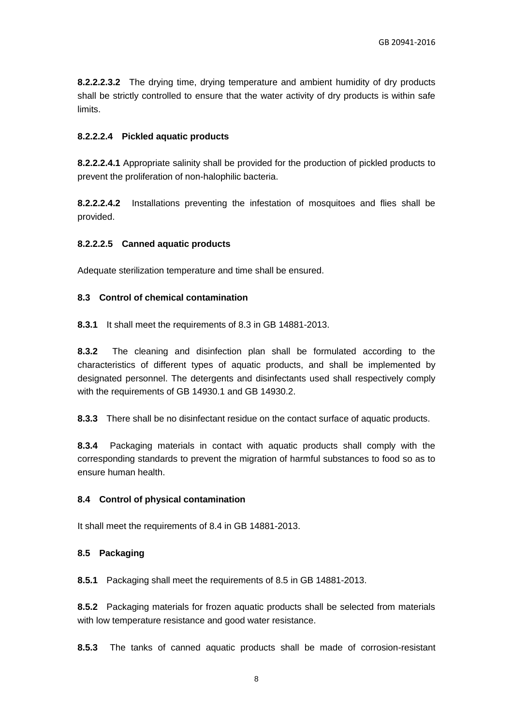**8.2.2.2.3.2** The drying time, drying temperature and ambient humidity of dry products shall be strictly controlled to ensure that the water activity of dry products is within safe limits.

#### **8.2.2.2.4 Pickled aquatic products**

**8.2.2.2.4.1** Appropriate salinity shall be provided for the production of pickled products to prevent the proliferation of non-halophilic bacteria.

**8.2.2.2.4.2** Installations preventing the infestation of mosquitoes and flies shall be provided.

#### **8.2.2.2.5 Canned aquatic products**

Adequate sterilization temperature and time shall be ensured.

#### **8.3 Control of chemical contamination**

**8.3.1** It shall meet the requirements of 8.3 in GB 14881-2013.

**8.3.2** The cleaning and disinfection plan shall be formulated according to the characteristics of different types of aquatic products, and shall be implemented by designated personnel. The detergents and disinfectants used shall respectively comply with the requirements of GB 14930.1 and GB 14930.2.

**8.3.3** There shall be no disinfectant residue on the contact surface of aquatic products.

**8.3.4** Packaging materials in contact with aquatic products shall comply with the corresponding standards to prevent the migration of harmful substances to food so as to ensure human health.

#### **8.4 Control of physical contamination**

It shall meet the requirements of 8.4 in GB 14881-2013.

#### **8.5 Packaging**

**8.5.1** Packaging shall meet the requirements of 8.5 in GB 14881-2013.

**8.5.2** Packaging materials for frozen aquatic products shall be selected from materials with low temperature resistance and good water resistance.

**8.5.3** The tanks of canned aquatic products shall be made of corrosion-resistant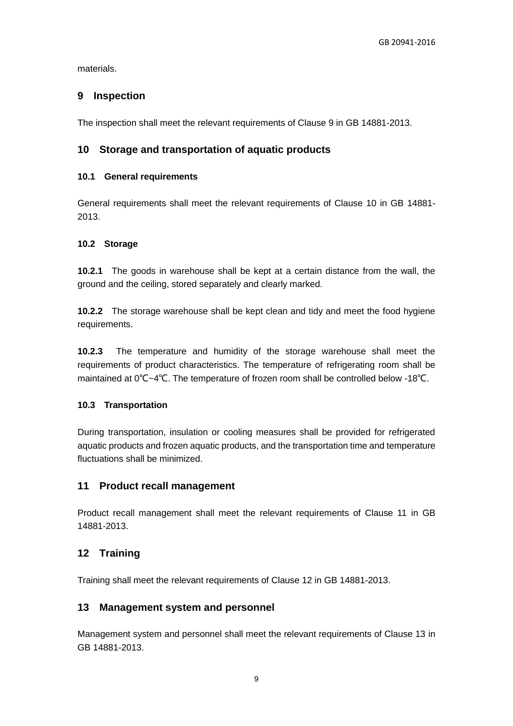materials.

## **9 Inspection**

The inspection shall meet the relevant requirements of Clause 9 in GB 14881-2013.

## **10 Storage and transportation of aquatic products**

#### **10.1 General requirements**

General requirements shall meet the relevant requirements of Clause 10 in GB 14881- 2013.

#### **10.2 Storage**

**10.2.1** The goods in warehouse shall be kept at a certain distance from the wall, the ground and the ceiling, stored separately and clearly marked.

**10.2.2** The storage warehouse shall be kept clean and tidy and meet the food hygiene requirements.

**10.2.3** The temperature and humidity of the storage warehouse shall meet the requirements of product characteristics. The temperature of refrigerating room shall be maintained at 0℃~4℃. The temperature of frozen room shall be controlled below -18℃.

#### **10.3 Transportation**

During transportation, insulation or cooling measures shall be provided for refrigerated aquatic products and frozen aquatic products, and the transportation time and temperature fluctuations shall be minimized.

#### **11 Product recall management**

Product recall management shall meet the relevant requirements of Clause 11 in GB 14881-2013.

## **12 Training**

Training shall meet the relevant requirements of Clause 12 in GB 14881-2013.

#### **13 Management system and personnel**

Management system and personnel shall meet the relevant requirements of Clause 13 in GB 14881-2013.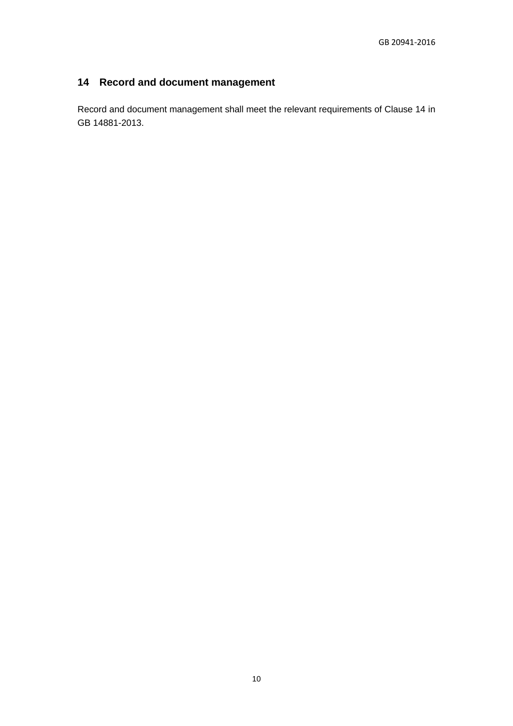## **14 Record and document management**

Record and document management shall meet the relevant requirements of Clause 14 in GB 14881-2013.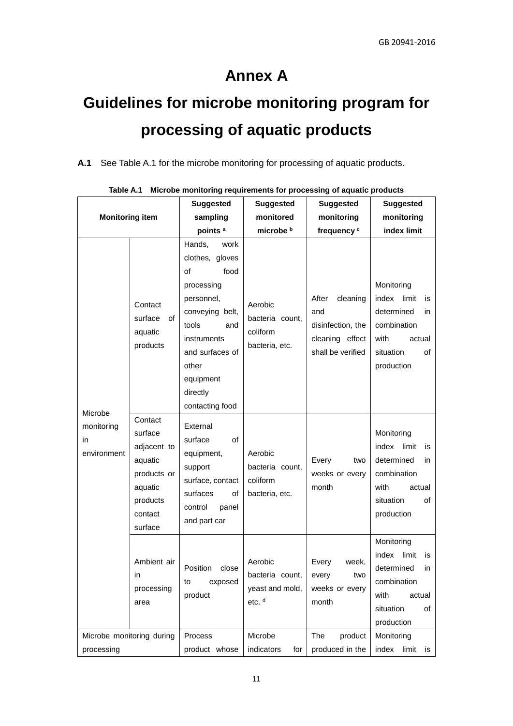## **Annex A**

# **Guidelines for microbe monitoring program for processing of aquatic products**

**A.1** See Table A.1 for the microbe monitoring for processing of aquatic products.

| <b>Monitoring item</b>                     |                                                                                                          | <b>Suggested</b>                                                                                                                                                                                      | <b>Suggested</b>                                                   | <b>Suggested</b>                                                                      | <b>Suggested</b>                                                                                                          |
|--------------------------------------------|----------------------------------------------------------------------------------------------------------|-------------------------------------------------------------------------------------------------------------------------------------------------------------------------------------------------------|--------------------------------------------------------------------|---------------------------------------------------------------------------------------|---------------------------------------------------------------------------------------------------------------------------|
|                                            |                                                                                                          | sampling                                                                                                                                                                                              | monitored                                                          | monitoring                                                                            | monitoring                                                                                                                |
|                                            |                                                                                                          | points <sup>a</sup>                                                                                                                                                                                   | microbe b                                                          | frequency <sup>c</sup>                                                                | index limit                                                                                                               |
| Microbe<br>monitoring<br>in<br>environment | Contact<br>surface<br>of<br>aquatic<br>products                                                          | Hands,<br>work<br>clothes, gloves<br>of<br>food<br>processing<br>personnel,<br>conveying belt,<br>tools<br>and<br>instruments<br>and surfaces of<br>other<br>equipment<br>directly<br>contacting food | Aerobic<br>bacteria count,<br>coliform<br>bacteria, etc.           | After<br>cleaning<br>and<br>disinfection, the<br>cleaning effect<br>shall be verified | Monitoring<br>index<br>limit<br>is<br>determined<br>in.<br>combination<br>with<br>actual<br>situation<br>οf<br>production |
|                                            | Contact<br>surface<br>adjacent to<br>aquatic<br>products or<br>aquatic<br>products<br>contact<br>surface | External<br>surface<br>οf<br>equipment,<br>support<br>surface, contact<br>surfaces<br>οf<br>control<br>panel<br>and part car                                                                          | Aerobic<br>bacteria count,<br>coliform<br>bacteria, etc.           | Every<br>two<br>weeks or every<br>month                                               | Monitoring<br>index<br>limit<br>is<br>determined<br>in<br>combination<br>with<br>actual<br>situation<br>οf<br>production  |
|                                            | Ambient air<br>in<br>processing<br>area                                                                  | Position<br>close<br>exposed<br>to<br>product                                                                                                                                                         | Aerobic<br>bacteria count,<br>yeast and mold,<br>etc. <sup>d</sup> | Every<br>week.<br>every<br>two<br>weeks or every<br>month                             | Monitoring<br>index<br>limit<br>is<br>determined<br>in.<br>combination<br>with<br>actual<br>situation<br>οf<br>production |
| Microbe monitoring during<br>processing    |                                                                                                          | Process<br>product whose                                                                                                                                                                              | Microbe<br>indicators<br>for                                       | The<br>product<br>produced in the                                                     | Monitoring<br>index<br>limit<br>is                                                                                        |

|  | Table A.1 Microbe monitoring requirements for processing of aquatic products |  |  |  |
|--|------------------------------------------------------------------------------|--|--|--|
|--|------------------------------------------------------------------------------|--|--|--|